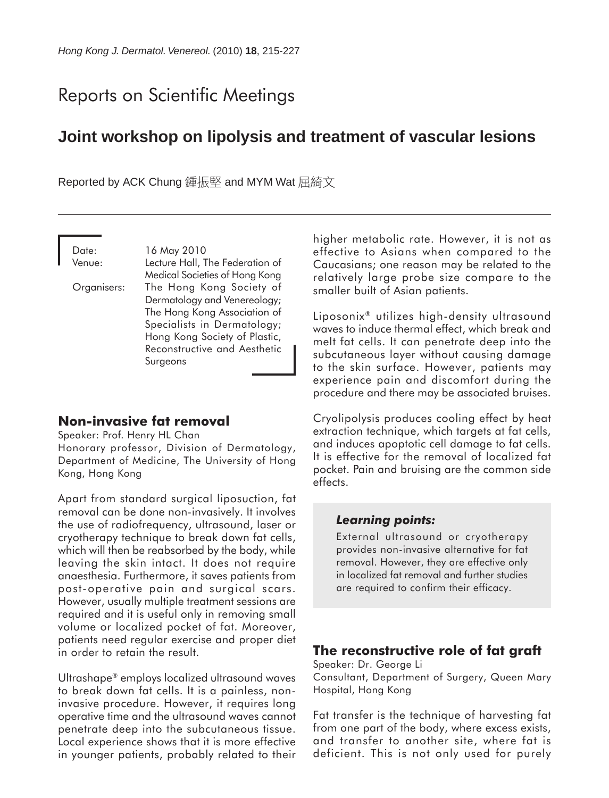# Reports on Scientific Meetings

## **Joint workshop on lipolysis and treatment of vascular lesions**

Reported by ACK Chung 鍾振堅 and MYM Wat 屈綺文

Date: 16 May 2010 Venue: Lecture Hall, The Federation of Medical Societies of Hong Kong Organisers: The Hong Kong Society of Dermatology and Venereology; The Hong Kong Association of Specialists in Dermatology; Hong Kong Society of Plastic, Reconstructive and Aesthetic Surgeons

#### **Non-invasive fat removal**

Speaker: Prof. Henry HL Chan Honorary professor, Division of Dermatology, Department of Medicine, The University of Hong Kong, Hong Kong

Apart from standard surgical liposuction, fat removal can be done non-invasively. It involves the use of radiofrequency, ultrasound, laser or cryotherapy technique to break down fat cells, which will then be reabsorbed by the body, while leaving the skin intact. It does not require anaesthesia. Furthermore, it saves patients from post-operative pain and surgical scars. However, usually multiple treatment sessions are required and it is useful only in removing small volume or localized pocket of fat. Moreover, patients need regular exercise and proper diet in order to retain the result.

Ultrashape® employs localized ultrasound waves to break down fat cells. It is a painless, noninvasive procedure. However, it requires long operative time and the ultrasound waves cannot penetrate deep into the subcutaneous tissue. Local experience shows that it is more effective in younger patients, probably related to their higher metabolic rate. However, it is not as effective to Asians when compared to the Caucasians; one reason may be related to the relatively large probe size compare to the smaller built of Asian patients.

Liposonix® utilizes high-density ultrasound waves to induce thermal effect, which break and melt fat cells. It can penetrate deep into the subcutaneous layer without causing damage to the skin surface. However, patients may experience pain and discomfort during the procedure and there may be associated bruises.

Cryolipolysis produces cooling effect by heat extraction technique, which targets at fat cells, and induces apoptotic cell damage to fat cells. It is effective for the removal of localized fat pocket. Pain and bruising are the common side effects.

#### *Learning points:*

External ultrasound or cryotherapy provides non-invasive alternative for fat removal. However, they are effective only in localized fat removal and further studies are required to confirm their efficacy.

#### **The reconstructive role of fat graft**

Speaker: Dr. George Li Consultant, Department of Surgery, Queen Mary Hospital, Hong Kong

Fat transfer is the technique of harvesting fat from one part of the body, where excess exists, and transfer to another site, where fat is deficient. This is not only used for purely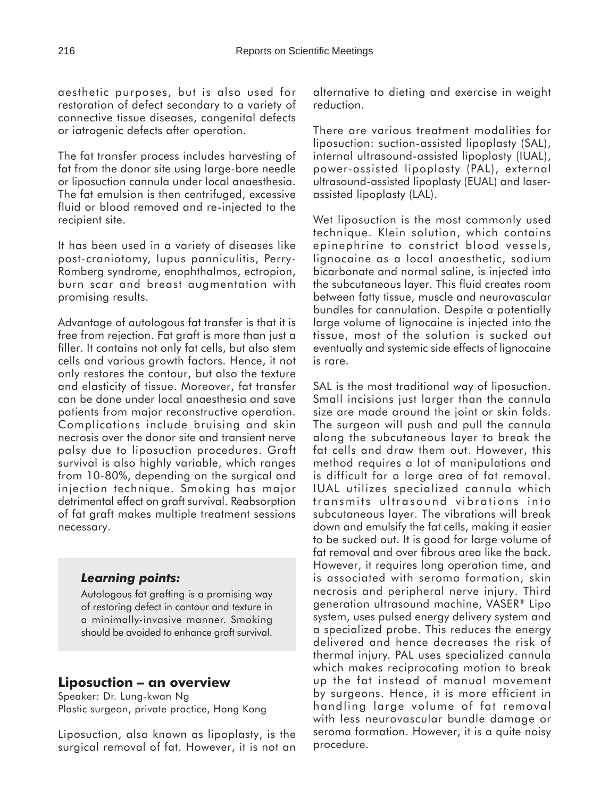aesthetic purposes, but is also used for restoration of defect secondary to a variety of connective tissue diseases, congenital defects or iatrogenic defects after operation.

The fat transfer process includes harvesting of fat from the donor site using large-bore needle or liposuction cannula under local anaesthesia. The fat emulsion is then centrifuged, excessive fluid or blood removed and re-injected to the recipient site.

It has been used in a variety of diseases like post-craniotomy, lupus panniculitis, Perry-Romberg syndrome, enophthalmos, ectropion, burn scar and breast augmentation with promising results.

Advantage of autologous fat transfer is that it is free from rejection. Fat graft is more than just a filler. It contains not only fat cells, but also stem cells and various growth factors. Hence, it not only restores the contour, but also the texture and elasticity of tissue. Moreover, fat transfer can be done under local anaesthesia and save patients from major reconstructive operation. Complications include bruising and skin necrosis over the donor site and transient nerve palsy due to liposuction procedures. Graft survival is also highly variable, which ranges from 10-80%, depending on the surgical and injection technique. Smoking has major detrimental effect on graft survival. Reabsorption of fat graft makes multiple treatment sessions necessary.

## *Learning points:*

Autologous fat grafting is a promising way of restoring defect in contour and texture in a minimally-invasive manner. Smoking should be avoided to enhance graft survival.

## **Liposuction – an overview**

Speaker: Dr. Lung-kwan Ng Plastic surgeon, private practice, Hong Kong

Liposuction, also known as lipoplasty, is the surgical removal of fat. However, it is not an alternative to dieting and exercise in weight reduction.

There are various treatment modalities for liposuction: suction-assisted lipoplasty (SAL), internal ultrasound-assisted lipoplasty (IUAL), power-assisted lipoplasty (PAL), external ultrasound-assisted lipoplasty (EUAL) and laserassisted lipoplasty (LAL).

Wet liposuction is the most commonly used technique. Klein solution, which contains epinephrine to constrict blood vessels, lignocaine as a local anaesthetic, sodium bicarbonate and normal saline, is injected into the subcutaneous layer. This fluid creates room between fatty tissue, muscle and neurovascular bundles for cannulation. Despite a potentially large volume of lignocaine is injected into the tissue, most of the solution is sucked out eventually and systemic side effects of lignocaine is rare.

SAL is the most traditional way of liposuction. Small incisions just larger than the cannula size are made around the joint or skin folds. The surgeon will push and pull the cannula along the subcutaneous layer to break the fat cells and draw them out. However, this method requires a lot of manipulations and is difficult for a large area of fat removal. IUAL utilizes specialized cannula which transmits ultrasound vibrations into subcutaneous layer. The vibrations will break down and emulsify the fat cells, making it easier to be sucked out. It is good for large volume of fat removal and over fibrous area like the back. However, it requires long operation time, and is associated with seroma formation, skin necrosis and peripheral nerve injury. Third generation ultrasound machine, VASER® Lipo system, uses pulsed energy delivery system and a specialized probe. This reduces the energy delivered and hence decreases the risk of thermal injury. PAL uses specialized cannula which makes reciprocating motion to break up the fat instead of manual movement by surgeons. Hence, it is more efficient in handling large volume of fat removal with less neurovascular bundle damage or seroma formation. However, it is a quite noisy procedure.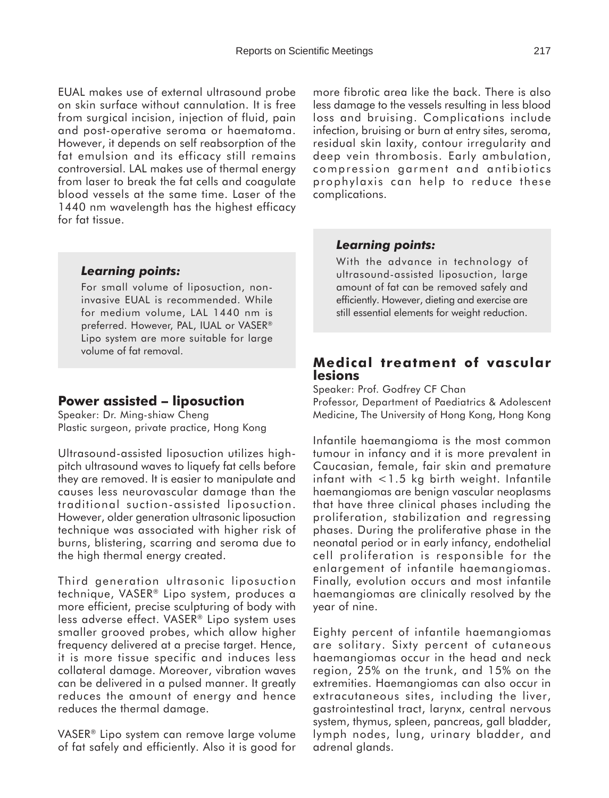EUAL makes use of external ultrasound probe on skin surface without cannulation. It is free from surgical incision, injection of fluid, pain and post-operative seroma or haematoma. However, it depends on self reabsorption of the fat emulsion and its efficacy still remains controversial. LAL makes use of thermal energy from laser to break the fat cells and coagulate blood vessels at the same time. Laser of the 1440 nm wavelength has the highest efficacy for fat tissue.

## *Learning points:*

For small volume of liposuction, noninvasive EUAL is recommended. While for medium volume, LAL 1440 nm is preferred. However, PAL, IUAL or VASER® Lipo system are more suitable for large volume of fat removal.

## **Power assisted – liposuction**

Speaker: Dr. Ming-shiaw Cheng Plastic surgeon, private practice, Hong Kong

Ultrasound-assisted liposuction utilizes highpitch ultrasound waves to liquefy fat cells before they are removed. It is easier to manipulate and causes less neurovascular damage than the traditional suction-assisted liposuction. However, older generation ultrasonic liposuction technique was associated with higher risk of burns, blistering, scarring and seroma due to the high thermal energy created.

Third generation ultrasonic liposuction technique, VASER® Lipo system, produces a more efficient, precise sculpturing of body with less adverse effect. VASER® Lipo system uses smaller grooved probes, which allow higher frequency delivered at a precise target. Hence, it is more tissue specific and induces less collateral damage. Moreover, vibration waves can be delivered in a pulsed manner. It greatly reduces the amount of energy and hence reduces the thermal damage.

VASER® Lipo system can remove large volume of fat safely and efficiently. Also it is good for more fibrotic area like the back. There is also less damage to the vessels resulting in less blood loss and bruising. Complications include infection, bruising or burn at entry sites, seroma, residual skin laxity, contour irregularity and deep vein thrombosis. Early ambulation, compression garment and antibiotics prophylaxis can help to reduce these complications.

## *Learning points:*

With the advance in technology of ultrasound-assisted liposuction, large amount of fat can be removed safely and efficiently. However, dieting and exercise are still essential elements for weight reduction.

## **Medical treatment of vascular lesions**

Speaker: Prof. Godfrey CF Chan

Professor, Department of Paediatrics & Adolescent Medicine, The University of Hong Kong, Hong Kong

Infantile haemangioma is the most common tumour in infancy and it is more prevalent in Caucasian, female, fair skin and premature infant with  $<$ 1.5 kg birth weight. Infantile haemangiomas are benign vascular neoplasms that have three clinical phases including the proliferation, stabilization and regressing phases. During the proliferative phase in the neonatal period or in early infancy, endothelial cell proliferation is responsible for the enlargement of infantile haemangiomas. Finally, evolution occurs and most infantile haemangiomas are clinically resolved by the year of nine.

Eighty percent of infantile haemangiomas are solitary. Sixty percent of cutaneous haemangiomas occur in the head and neck region, 25% on the trunk, and 15% on the extremities. Haemangiomas can also occur in extracutaneous sites, including the liver, gastrointestinal tract, larynx, central nervous system, thymus, spleen, pancreas, gall bladder, lymph nodes, lung, urinary bladder, and adrenal glands.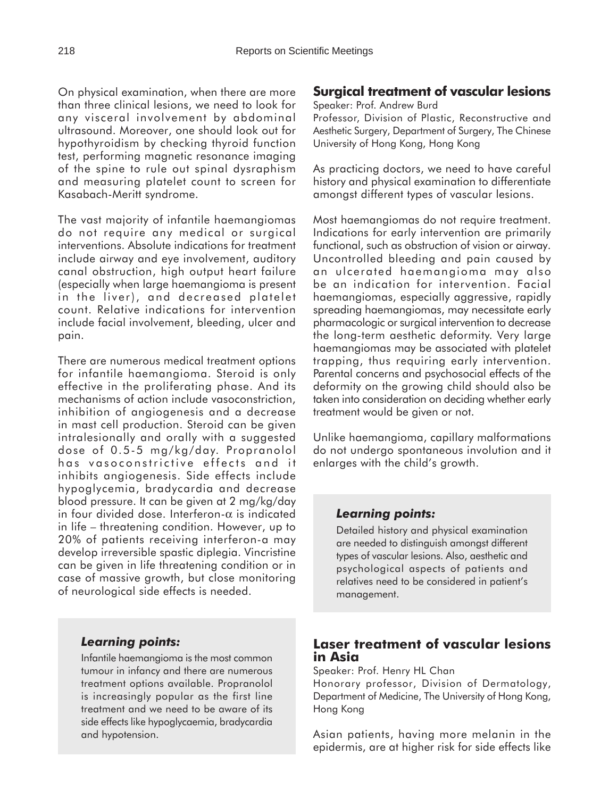On physical examination, when there are more than three clinical lesions, we need to look for any visceral involvement by abdominal ultrasound. Moreover, one should look out for hypothyroidism by checking thyroid function test, performing magnetic resonance imaging of the spine to rule out spinal dysraphism and measuring platelet count to screen for Kasabach-Meritt syndrome.

The vast majority of infantile haemangiomas do not require any medical or surgical interventions. Absolute indications for treatment include airway and eye involvement, auditory canal obstruction, high output heart failure (especially when large haemangioma is present in the liver), and decreased platelet count. Relative indications for intervention include facial involvement, bleeding, ulcer and pain.

There are numerous medical treatment options for infantile haemangioma. Steroid is only effective in the proliferating phase. And its mechanisms of action include vasoconstriction, inhibition of angiogenesis and a decrease in mast cell production. Steroid can be given intralesionally and orally with a suggested dose of 0.5-5 mg/kg/day. Propranolol has vasoconstrictive effects and it inhibits angiogenesis. Side effects include hypoglycemia, bradycardia and decrease blood pressure. It can be given at 2 mg/kg/day in four divided dose. Interferon- $\alpha$  is indicated in life – threatening condition. However, up to 20% of patients receiving interferon-a may develop irreversible spastic diplegia. Vincristine can be given in life threatening condition or in case of massive growth, but close monitoring of neurological side effects is needed.

#### *Learning points:*

Infantile haemangioma is the most common tumour in infancy and there are numerous treatment options available. Propranolol is increasingly popular as the first line treatment and we need to be aware of its side effects like hypoglycaemia, bradycardia and hypotension.

## **Surgical treatment of vascular lesions**

Speaker: Prof. Andrew Burd

Professor, Division of Plastic, Reconstructive and Aesthetic Surgery, Department of Surgery, The Chinese University of Hong Kong, Hong Kong

As practicing doctors, we need to have careful history and physical examination to differentiate amongst different types of vascular lesions.

Most haemangiomas do not require treatment. Indications for early intervention are primarily functional, such as obstruction of vision or airway. Uncontrolled bleeding and pain caused by an ulcerated haemangioma may also be an indication for intervention. Facial haemangiomas, especially aggressive, rapidly spreading haemangiomas, may necessitate early pharmacologic or surgical intervention to decrease the long-term aesthetic deformity. Very large haemangiomas may be associated with platelet trapping, thus requiring early intervention. Parental concerns and psychosocial effects of the deformity on the growing child should also be taken into consideration on deciding whether early treatment would be given or not.

Unlike haemangioma, capillary malformations do not undergo spontaneous involution and it enlarges with the child's growth.

## *Learning points:*

Detailed history and physical examination are needed to distinguish amongst different types of vascular lesions. Also, aesthetic and psychological aspects of patients and relatives need to be considered in patient's management.

## **Laser treatment of vascular lesions in Asia**

Speaker: Prof. Henry HL Chan

Honorary professor, Division of Dermatology, Department of Medicine, The University of Hong Kong, Hong Kong

Asian patients, having more melanin in the epidermis, are at higher risk for side effects like